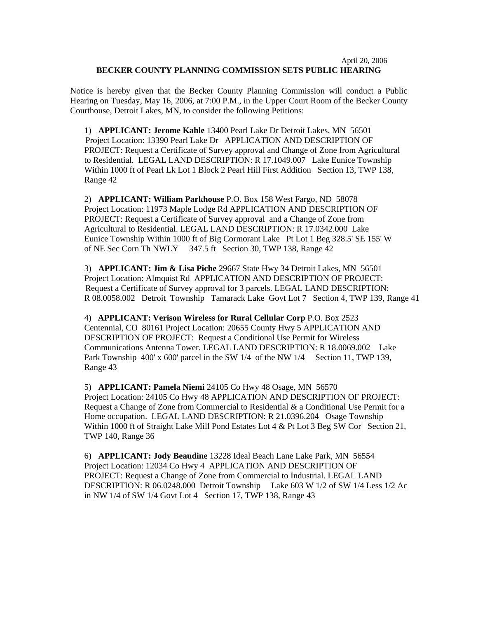## April 20, 2006 **BECKER COUNTY PLANNING COMMISSION SETS PUBLIC HEARING**

Notice is hereby given that the Becker County Planning Commission will conduct a Public Hearing on Tuesday, May 16, 2006, at 7:00 P.M., in the Upper Court Room of the Becker County Courthouse, Detroit Lakes, MN, to consider the following Petitions:

1) **APPLICANT: Jerome Kahle** 13400 Pearl Lake Dr Detroit Lakes, MN 56501 Project Location: 13390 Pearl Lake Dr APPLICATION AND DESCRIPTION OF PROJECT: Request a Certificate of Survey approval and Change of Zone from Agricultural to Residential. LEGAL LAND DESCRIPTION: R 17.1049.007 Lake Eunice Township Within 1000 ft of Pearl Lk Lot 1 Block 2 Pearl Hill First Addition Section 13, TWP 138, Range 42

2) **APPLICANT: William Parkhouse** P.O. Box 158 West Fargo, ND 58078 Project Location: 11973 Maple Lodge Rd APPLICATION AND DESCRIPTION OF PROJECT: Request a Certificate of Survey approval and a Change of Zone from Agricultural to Residential. LEGAL LAND DESCRIPTION: R 17.0342.000 Lake Eunice Township Within 1000 ft of Big Cormorant Lake Pt Lot 1 Beg 328.5' SE 155' W of NE Sec Corn Th NWLY 347.5 ft Section 30, TWP 138, Range 42

3) **APPLICANT: Jim & Lisa Piche** 29667 State Hwy 34 Detroit Lakes, MN 56501 Project Location: Almquist Rd APPLICATION AND DESCRIPTION OF PROJECT: Request a Certificate of Survey approval for 3 parcels. LEGAL LAND DESCRIPTION: R 08.0058.002 Detroit Township Tamarack Lake Govt Lot 7 Section 4, TWP 139, Range 41

4) **APPLICANT: Verison Wireless for Rural Cellular Corp** P.O. Box 2523 Centennial, CO 80161 Project Location: 20655 County Hwy 5 APPLICATION AND DESCRIPTION OF PROJECT: Request a Conditional Use Permit for Wireless Communications Antenna Tower. LEGAL LAND DESCRIPTION: R 18.0069.002 Lake Park Township 400' x 600' parcel in the SW 1/4 of the NW 1/4 Section 11, TWP 139, Range 43

5) **APPLICANT: Pamela Niemi** 24105 Co Hwy 48 Osage, MN 56570 Project Location: 24105 Co Hwy 48 APPLICATION AND DESCRIPTION OF PROJECT: Request a Change of Zone from Commercial to Residential & a Conditional Use Permit for a Home occupation. LEGAL LAND DESCRIPTION: R 21.0396.204 Osage Township Within 1000 ft of Straight Lake Mill Pond Estates Lot 4 & Pt Lot 3 Beg SW Cor Section 21, TWP 140, Range 36

6) **APPLICANT: Jody Beaudine** 13228 Ideal Beach Lane Lake Park, MN 56554 Project Location: 12034 Co Hwy 4 APPLICATION AND DESCRIPTION OF PROJECT: Request a Change of Zone from Commercial to Industrial. LEGAL LAND DESCRIPTION: R 06.0248.000 Detroit Township Lake 603 W 1/2 of SW 1/4 Less 1/2 Ac in NW 1/4 of SW 1/4 Govt Lot 4 Section 17, TWP 138, Range 43